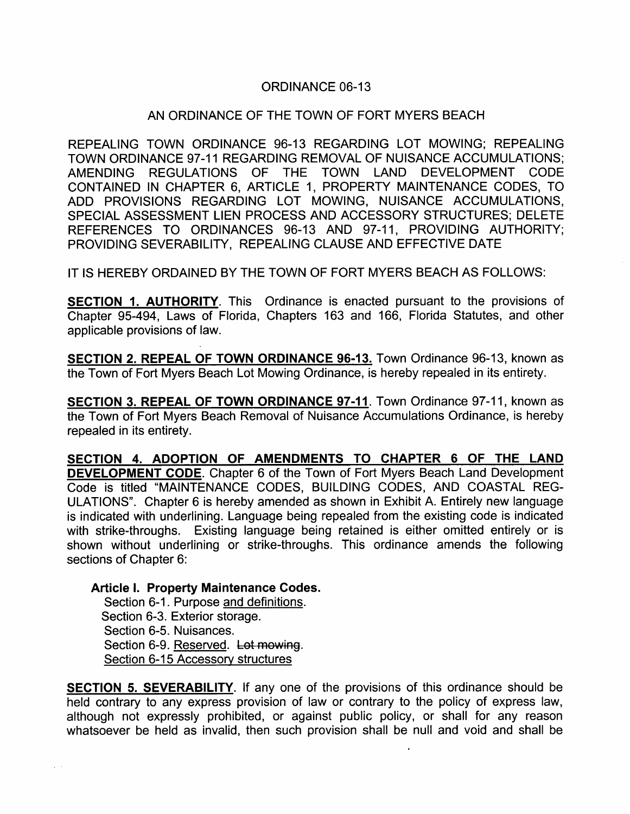## ORDINANCE 06-13

### AN ORDINANCE OF THE TOWN OF FORT MYERS BEACH

REPEALING TOWN ORDINANCE 96-13 REGARDING LOT MOWING; REPEALING TOWN ORDINANCE 97-11 REGARDING REMOVAL OF NUISANCE ACCUMULATIONS; AMENDING REGULATIONS OF THE TOWN LAND DEVELOPMENT CODE CONTAINED IN CHAPTER 6, ARTICLE 1, PROPERTY MAINTENANCE CODES, TO ADD PROVISIONS REGARDING LOT MOWING, NUISANCE ACCUMULATIONS, SPECIAL ASSESSMENT LIEN PROCESS AND ACCESSORY STRUCTURES; DELETE REFERENCES TO ORDINANCES 96-13 AND 97-11, PROVIDING AUTHORITY; PROVIDING SEVERABILITY, REPEALING CLAUSE AND EFFECTIVE DATE

IT IS HEREBY ORDAINED BY THE TOWN OF FORT MYERS BEACH AS FOLLOWS:

SECTION 1. AUTHORITY. This Ordinance is enacted pursuant to the provisions of Chapter 95-494, Laws of Florida, Chapters 163 and 166, Florida Statutes, and other applicable provisions of law.

SECTION 2. REPEAL OF TOWN ORDINANCE 96-13. Town Ordinance 96-13, known as the Town of Fort Myers Beach Lot Mowing Ordinance, is hereby repealed in its entirety.

SECTION 3. REPEAL OF TOWN ORDINANCE 97-11. Town Ordinance 97-11, known as the Town of Fort Myers Beach Removal of Nuisance Accumulations Ordinance, is hereby repealed in its entirety.

SECTION 4. ADOPTION OF AMENDMENTS TO CHAPTER <sup>6</sup> OF THE LAND DEVELOPMENT CODE. Chapter <sup>6</sup> of the Town of Fort Myers Beach Land Development Code is titled "MAINTENANCE CODES, BUILDING CODES, AND COASTAL REG ULATIONS". Chapter 6 is hereby amended as shown in Exhibit A. Entirely new language is indicated with underlining. Language being repealed from the existing code is indicated with strike-throughs. Existing language being retained is either omitted entirely or is shown without underlining or strike-throughs. This ordinance amends the following sections of Chapter 6:

Article I. Property Maintenance Codes.

Section 6-1. Purpose and definitions. Section 6-3. Exterior storage. Section 6-5. Nuisances. Section 6-9. Reserved. Lot mowing. Section 6-15 Accessory structures

SECTION 5. SEVERABILITY. If any one of the provisions of this ordinance should be held contrary to any express provision of law or contrary to the policy of express law, although not expressly prohibited, or against public policy, or shall for any reason whatsoever be held as invalid, then such provision shall be null and void and shall be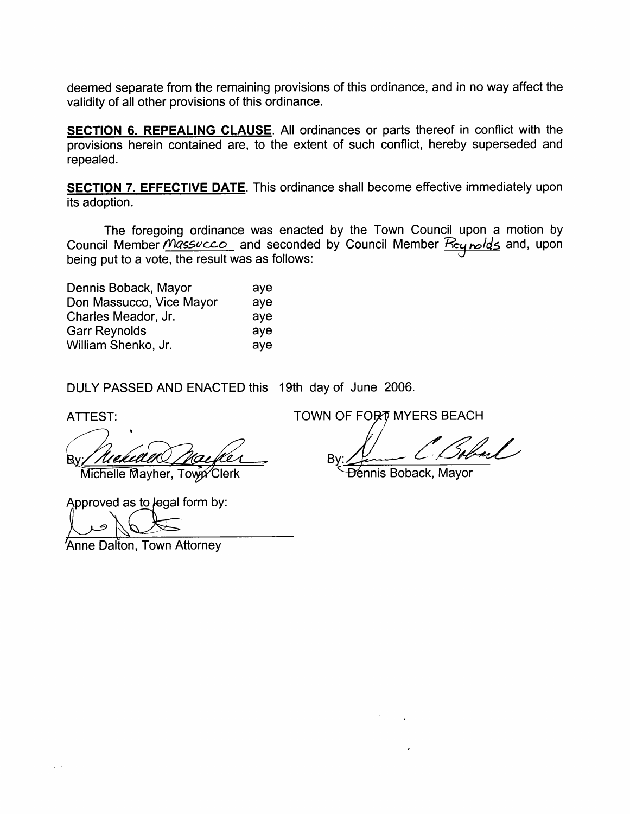deemed separate from the remaining provisions of this ordinance, and in no way affect the validity of all other provisions of this ordinance.

SECTION 6. REPEALING CLAUSE. All ordinances or parts thereof in conflict with the provisions herein contained are, to the extent of such conflict, hereby superseded and repealed.

SECTION 7. EFFECTIVE DATE. This ordinance shall become effective immediately upon its adoption.

The foregoing ordinance was enacted by the Town Council upon a motion by Council Member *Micssuccio*\_ and seconded by Council Member <u>Keq nolds</u> and, upon being put to a vote, the result was as follows:

| Dennis Boback, Mayor<br>Don Massucco, Vice Mayor | ave<br>aye |
|--------------------------------------------------|------------|
|                                                  |            |
| <b>Garr Reynolds</b><br>William Shenko, Jr.      | aye<br>aye |

DULY PASSED AND ENACTED this 19th day of June 2006.

Niekih Michelle Mayher, Towy Clerk

Approved as to legal form by:

Anne Dalton, Town Attorney

ATTEST: AND TOWN OF FORT MYERS BEACH

B١

Dennis Boback, Mayor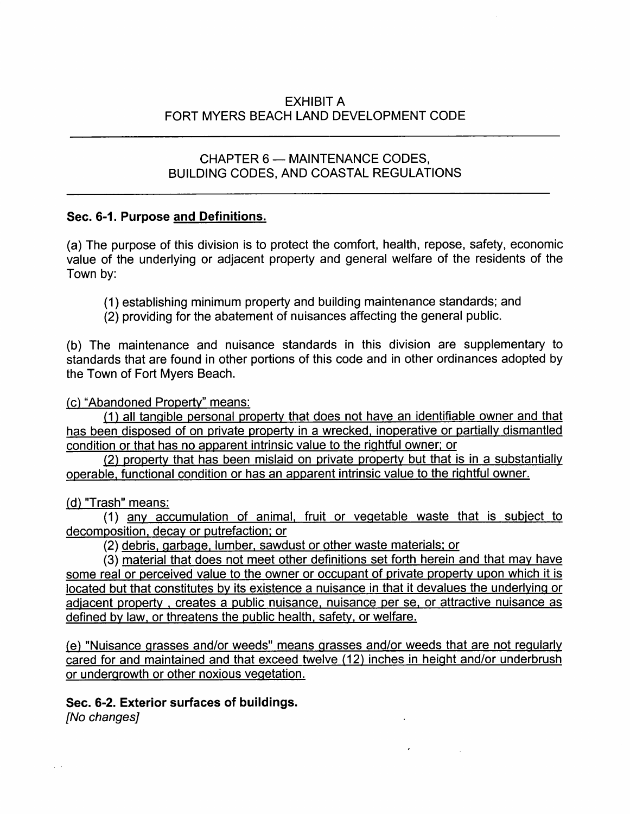# EXHIBIT A FORT MYERS BEACH LAND DEVELOPMENT CODE

## CHAPTER 6 - MAINTENANCE CODES, BUILDING CODES, AND COASTAL REGULATIONS

## Sec. 6-1. Purpose and Definitions.

(a) The purpose of this division is to protect the comfort, health, repose, safety, economic value of the underlying or adjacent property and general welfare of the residents of the Town by:

- 1 establishing minimum property and building maintenance standards; and
- (2) providing for the abatement of nuisances affecting the general public.

b The maintenance and nuisance standards in this division are supplementary to standards that are found in other portions of this code and in other ordinances adopted by the Town of Fort Myers Beach.

c "Abandoned Property" means:

(1) all tangible personal property that does not have an identifiable owner and that has been disposed of on private property in a wrecked, inoperative or partially dismantled condition or that has no apparent intrinsic value to the rightful owner; or

2 property that has been mislaid on private property but that is in <sup>a</sup> substantially operable, functional condition or has an apparent intrinsic value to the rightful owner.

(d) "Trash" means:

1 any accumulation of animal, fruit or vegetable waste that is subject to decomposition, decay or putrefaction; or

2 debris, garbage, lumber, sawdust or other waste materials; or

3 material that does not meet other definitions set forth herein and that may have some real or perceived value to the owner or occupant of private property upon which it is located but that constitutes by its existence a nuisance in that it devalues the underlying or adjacent property, creates a public nuisance, nuisance per se, or attractive nuisance as defined by law, or threatens the public health, safety, or welfare.

e "Nuisance grasses and/or weeds" means grasses and/or weeds that are not regularly cared for and maintained and that exceed twelve (12) inches in height and/or underbrush or undergrowth or other noxious vegetation.

Sec. 6-2. Exterior surfaces of buildings.

[No changes]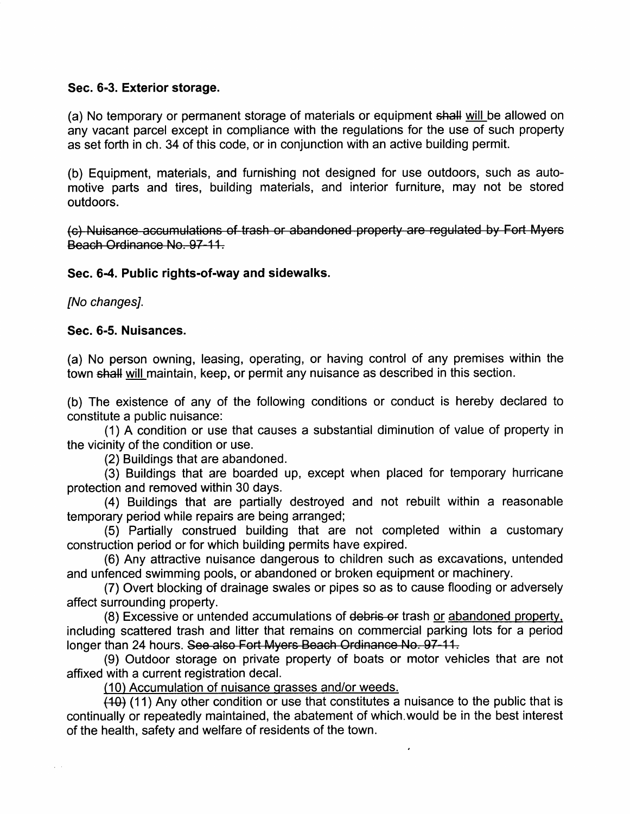### Sec. 6-3. Exterior storage.

(a) No temporary or permanent storage of materials or equipment shall will be allowed on any vacant parcel except in compliance with the regulations for the use of such property as set forth in ch. 34 of this code, or in conjunction with an active building permit.

(b) Equipment, materials, and furnishing not designed for use outdoors, such as automotive parts and tires, building materials, and interior furniture, may not be stored outdoors.

(c) Nuisance accumulations of trash or abandoned property are regulated by Fort Myers Beach Ordinance No. 97-11.

### Sec. 6-4. Public rights-of-way and sidewalks.

[No changes].

### Sec. 6-5. Nuisances.

(a) No person owning, leasing, operating, or having control of any premises within the town shall will maintain, keep, or permit any nuisance as described in this section.

(b) The existence of any of the following conditions or conduct is hereby declared to constitute a public nuisance:

1 <sup>A</sup> condition or use that causes <sup>a</sup> substantial diminution of value of property in the vicinity of the condition or use.

(2) Buildings that are abandoned.

 $(3)$  Buildings that are boarded up, except when placed for temporary hurricane protection and removed within 30 days.

4 Buildings that are partially destroyed and not rebuilt within <sup>a</sup> reasonable temporary period while repairs are being arranged;

5 Partially construed building that are not completed within <sup>a</sup> customary construction period or for which building permits have expired.

6 Any attractive nuisance dangerous to children such as excavations, untended and unfenced swimming pools, or abandoned or broken equipment or machinery.

7 Overt blocking of drainage swales or pipes so as to cause flooding or adversely affect surrounding property.

(8) Excessive or untended accumulations of debris or trash or abandoned property, including scattered trash and litter that remains on commercial parking lots for a period longer than 24 hours. See also Fort Myers Beach Ordinance No. 97-11.

9 Outdoor storage on private property of boats or motor vehicles that are not affixed with a current registration decal.

(10) Accumulation of nuisance grasses and/or weeds.

 $\overline{(40)}$  (11) Any other condition or use that constitutes a nuisance to the public that is continually or repeatedly maintained, the abatement of which.would be in the best interest of the health, safety and welfare of residents of the town.

 $\lambda$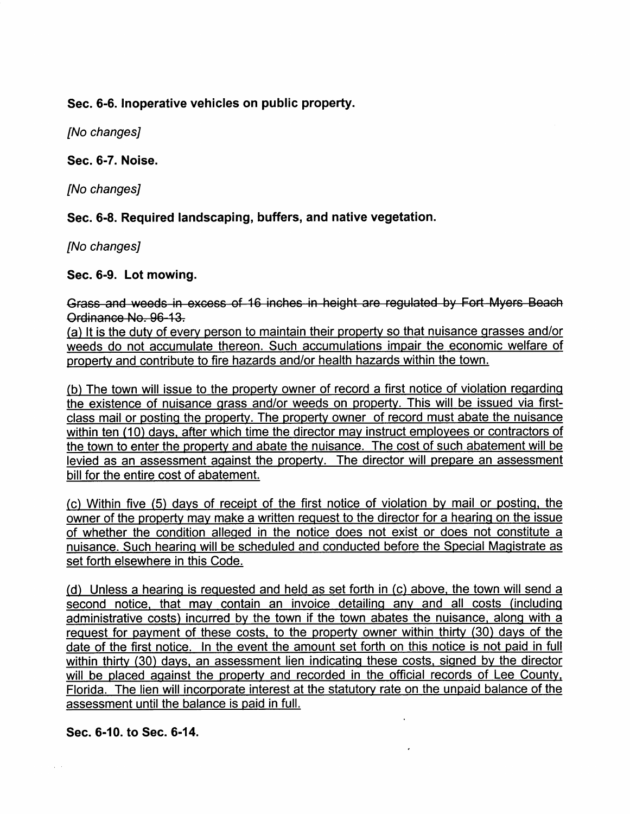Sec. 6-6. Inoperative vehicles on public property.

[No changes]

Sec. 6-7. Noise.

[No changes]

Sec. 6-8. Required landscaping, buffers, and native vegetation.

[No changes]

Sec. 6-9. Lot mowing.

Grass and weeds in excess of 16 inches in height are regulated by Fort Myers Beach Ordinance No. 96-13.

(a) It is the duty of every person to maintain their property so that nuisance grasses and/or weeds do not accumulate thereon. Such accumulations impair the economic welfare of property and contribute to fire hazards and/or health hazards within the town.

b The town will issue to the property owner of record <sup>a</sup> first notice of violation regarding the existence of nuisance grass and/or weeds on property. This will be issued via firstclass mail or posting the property. The property owner of record must abate the nuisance within ten (10) days, after which time the director may instruct employees or contractors of the town to enter the property and abate the nuisance. The cost of such abatement will be levied as an assessment against the property. The director will prepare an assessment bill for the entire cost of abatement.

(c) Within five (5) days of receipt of the first notice of violation by mail or posting, the owner of the property may make a written request to the director for a hearing on the issue of whether the condition alleged in the notice does not exist or does not constitute a nuisance. Such hearing will be scheduled and conducted before the Special Magistrate as set forth elsewhere in this Code.

(d) Unless a hearing is requested and held as set forth in  $(c)$  above, the town will send a second notice, that may contain an invoice detailing any and all costs (including administrative costs) incurred by the town if the town abates the nuisance, along with a request for payment of these costs, to the property owner within thirty (30) days of the date of the first notice. In the event the amount set forth on this notice is not paid in full within thirty (30) days, an assessment lien indicating these costs, signed by the director will be placed against the property and recorded in the official records of Lee County, Florida. The lien will incorporate interest at the statutory rate on the unpaid balance of the assessment until the balance is paid in full.

Sec. 6-10. to Sec. 6-14.